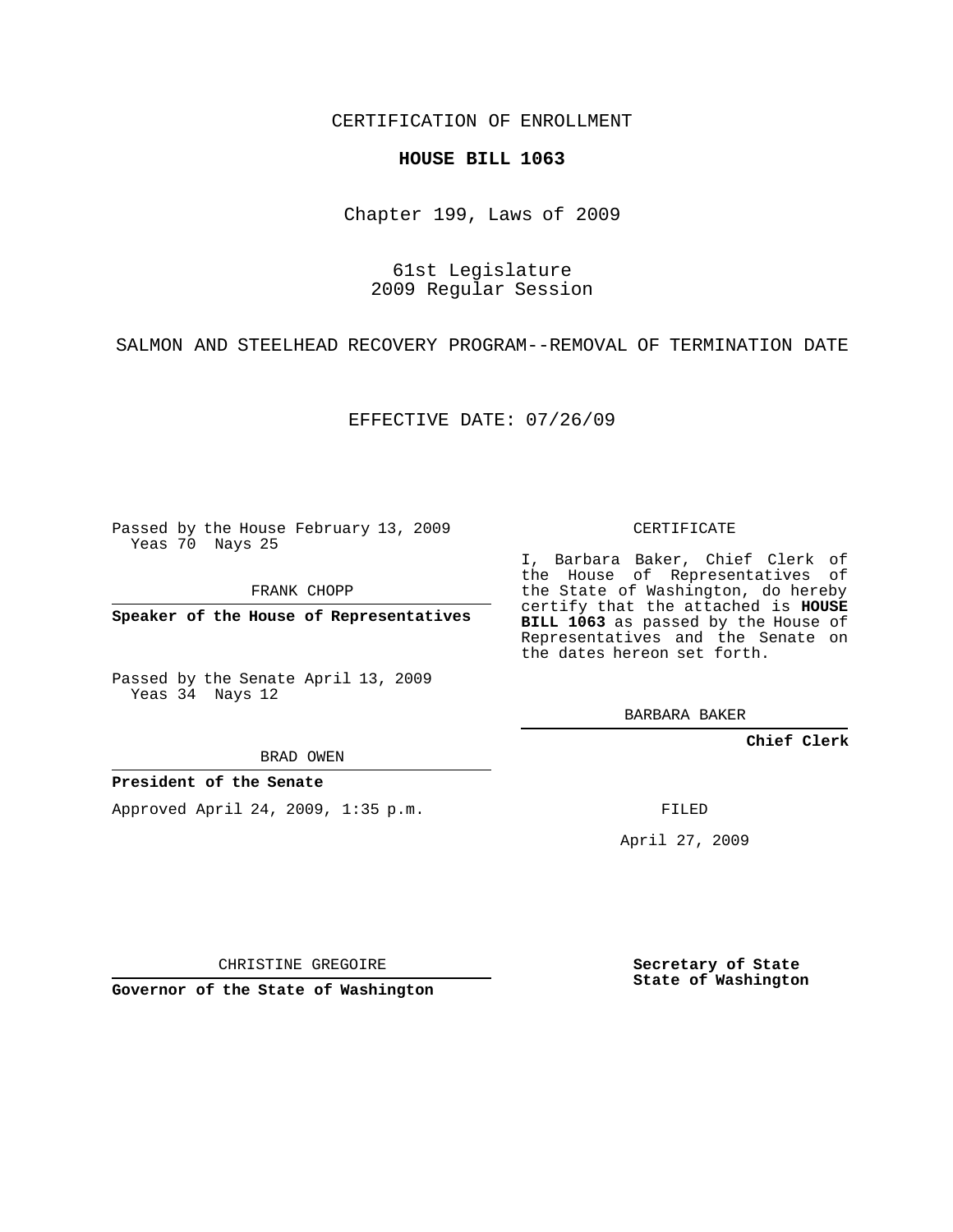CERTIFICATION OF ENROLLMENT

## **HOUSE BILL 1063**

Chapter 199, Laws of 2009

61st Legislature 2009 Regular Session

SALMON AND STEELHEAD RECOVERY PROGRAM--REMOVAL OF TERMINATION DATE

EFFECTIVE DATE: 07/26/09

Passed by the House February 13, 2009 Yeas 70 Nays 25

FRANK CHOPP

**Speaker of the House of Representatives**

Passed by the Senate April 13, 2009 Yeas 34 Nays 12

BRAD OWEN

**President of the Senate**

Approved April 24, 2009, 1:35 p.m.

CERTIFICATE

I, Barbara Baker, Chief Clerk of the House of Representatives of the State of Washington, do hereby certify that the attached is **HOUSE BILL 1063** as passed by the House of Representatives and the Senate on the dates hereon set forth.

BARBARA BAKER

**Chief Clerk**

FILED

April 27, 2009

CHRISTINE GREGOIRE

**Governor of the State of Washington**

**Secretary of State State of Washington**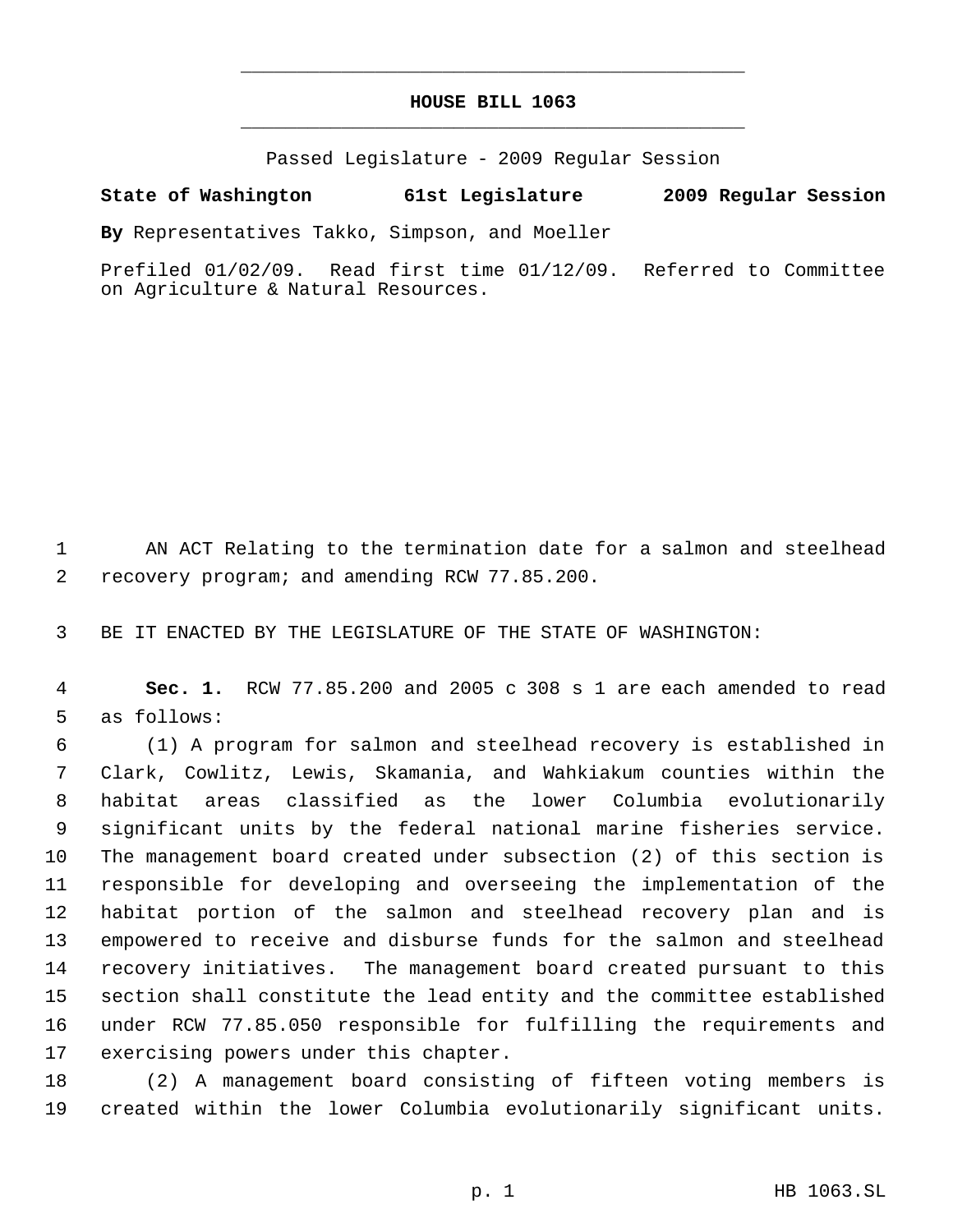## **HOUSE BILL 1063** \_\_\_\_\_\_\_\_\_\_\_\_\_\_\_\_\_\_\_\_\_\_\_\_\_\_\_\_\_\_\_\_\_\_\_\_\_\_\_\_\_\_\_\_\_

\_\_\_\_\_\_\_\_\_\_\_\_\_\_\_\_\_\_\_\_\_\_\_\_\_\_\_\_\_\_\_\_\_\_\_\_\_\_\_\_\_\_\_\_\_

Passed Legislature - 2009 Regular Session

## **State of Washington 61st Legislature 2009 Regular Session**

**By** Representatives Takko, Simpson, and Moeller

Prefiled 01/02/09. Read first time 01/12/09. Referred to Committee on Agriculture & Natural Resources.

 AN ACT Relating to the termination date for a salmon and steelhead recovery program; and amending RCW 77.85.200.

BE IT ENACTED BY THE LEGISLATURE OF THE STATE OF WASHINGTON:

 **Sec. 1.** RCW 77.85.200 and 2005 c 308 s 1 are each amended to read as follows:

 (1) A program for salmon and steelhead recovery is established in Clark, Cowlitz, Lewis, Skamania, and Wahkiakum counties within the habitat areas classified as the lower Columbia evolutionarily significant units by the federal national marine fisheries service. The management board created under subsection (2) of this section is responsible for developing and overseeing the implementation of the habitat portion of the salmon and steelhead recovery plan and is empowered to receive and disburse funds for the salmon and steelhead recovery initiatives. The management board created pursuant to this section shall constitute the lead entity and the committee established under RCW 77.85.050 responsible for fulfilling the requirements and exercising powers under this chapter.

 (2) A management board consisting of fifteen voting members is created within the lower Columbia evolutionarily significant units.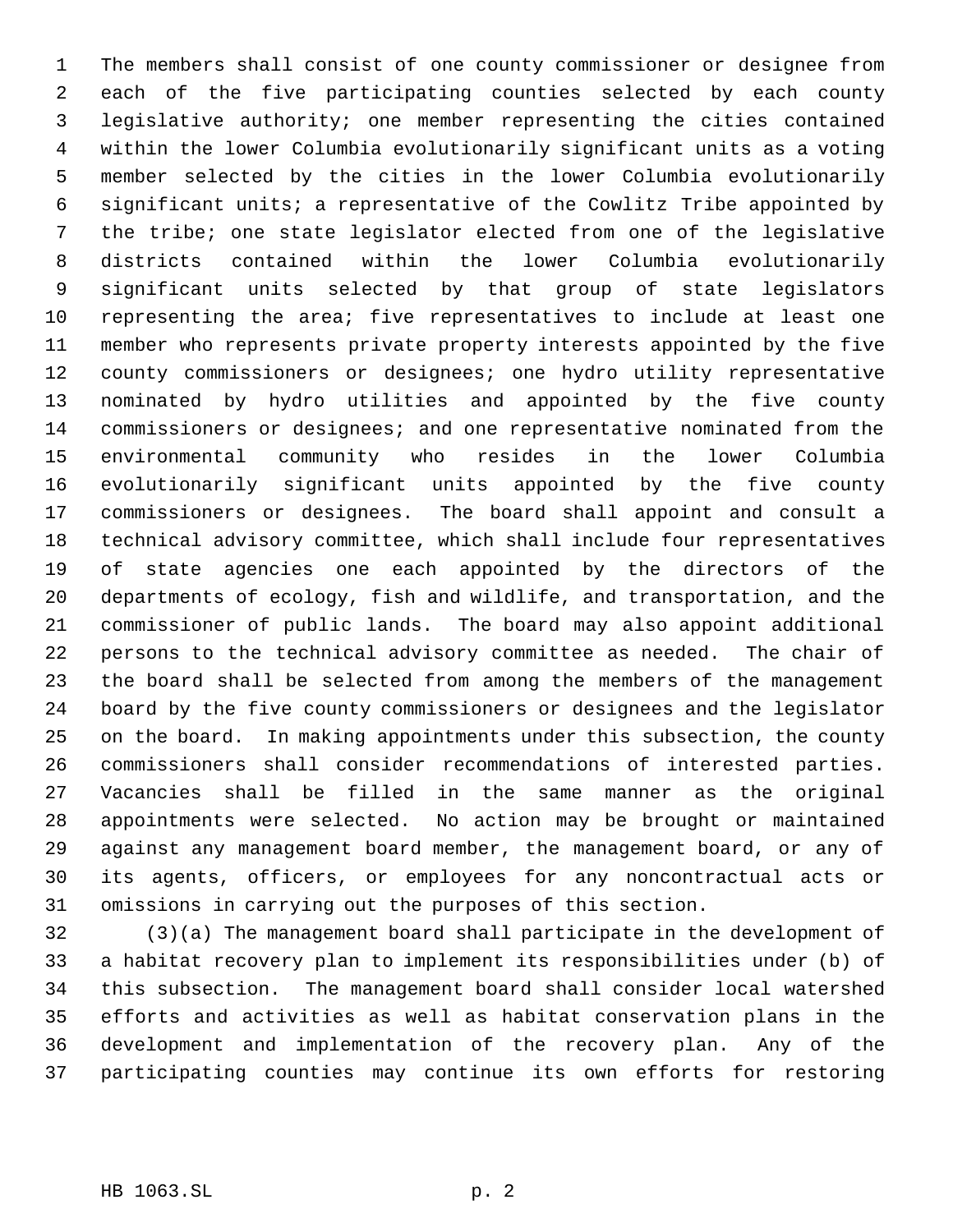The members shall consist of one county commissioner or designee from each of the five participating counties selected by each county legislative authority; one member representing the cities contained within the lower Columbia evolutionarily significant units as a voting member selected by the cities in the lower Columbia evolutionarily significant units; a representative of the Cowlitz Tribe appointed by the tribe; one state legislator elected from one of the legislative districts contained within the lower Columbia evolutionarily significant units selected by that group of state legislators representing the area; five representatives to include at least one member who represents private property interests appointed by the five county commissioners or designees; one hydro utility representative nominated by hydro utilities and appointed by the five county commissioners or designees; and one representative nominated from the environmental community who resides in the lower Columbia evolutionarily significant units appointed by the five county commissioners or designees. The board shall appoint and consult a technical advisory committee, which shall include four representatives of state agencies one each appointed by the directors of the departments of ecology, fish and wildlife, and transportation, and the commissioner of public lands. The board may also appoint additional persons to the technical advisory committee as needed. The chair of the board shall be selected from among the members of the management board by the five county commissioners or designees and the legislator on the board. In making appointments under this subsection, the county commissioners shall consider recommendations of interested parties. Vacancies shall be filled in the same manner as the original appointments were selected. No action may be brought or maintained against any management board member, the management board, or any of its agents, officers, or employees for any noncontractual acts or omissions in carrying out the purposes of this section.

 (3)(a) The management board shall participate in the development of a habitat recovery plan to implement its responsibilities under (b) of this subsection. The management board shall consider local watershed efforts and activities as well as habitat conservation plans in the development and implementation of the recovery plan. Any of the participating counties may continue its own efforts for restoring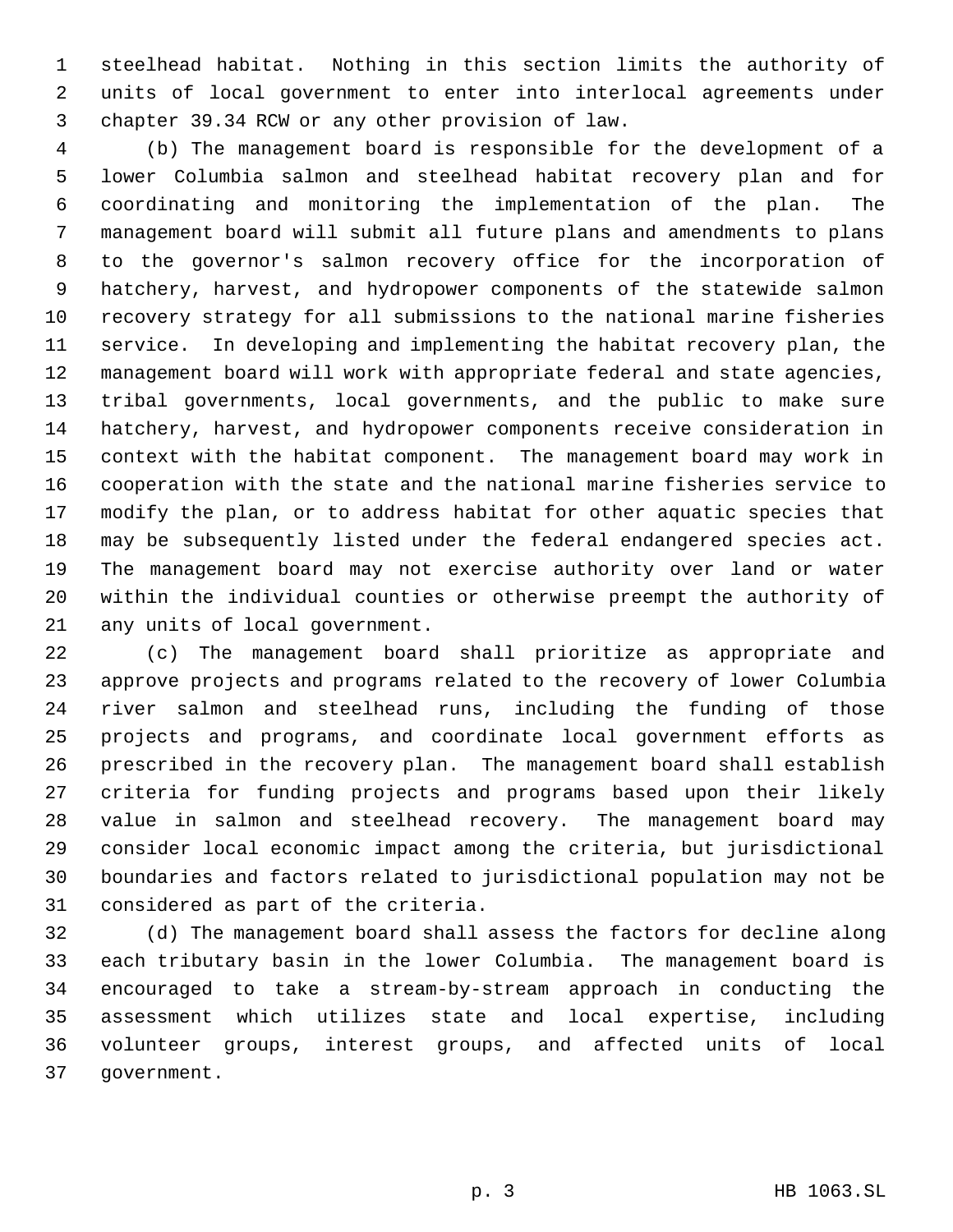steelhead habitat. Nothing in this section limits the authority of units of local government to enter into interlocal agreements under chapter 39.34 RCW or any other provision of law.

 (b) The management board is responsible for the development of a lower Columbia salmon and steelhead habitat recovery plan and for coordinating and monitoring the implementation of the plan. The management board will submit all future plans and amendments to plans to the governor's salmon recovery office for the incorporation of hatchery, harvest, and hydropower components of the statewide salmon recovery strategy for all submissions to the national marine fisheries service. In developing and implementing the habitat recovery plan, the management board will work with appropriate federal and state agencies, tribal governments, local governments, and the public to make sure hatchery, harvest, and hydropower components receive consideration in context with the habitat component. The management board may work in cooperation with the state and the national marine fisheries service to modify the plan, or to address habitat for other aquatic species that may be subsequently listed under the federal endangered species act. The management board may not exercise authority over land or water within the individual counties or otherwise preempt the authority of any units of local government.

 (c) The management board shall prioritize as appropriate and approve projects and programs related to the recovery of lower Columbia river salmon and steelhead runs, including the funding of those projects and programs, and coordinate local government efforts as prescribed in the recovery plan. The management board shall establish criteria for funding projects and programs based upon their likely value in salmon and steelhead recovery. The management board may consider local economic impact among the criteria, but jurisdictional boundaries and factors related to jurisdictional population may not be considered as part of the criteria.

 (d) The management board shall assess the factors for decline along each tributary basin in the lower Columbia. The management board is encouraged to take a stream-by-stream approach in conducting the assessment which utilizes state and local expertise, including volunteer groups, interest groups, and affected units of local government.